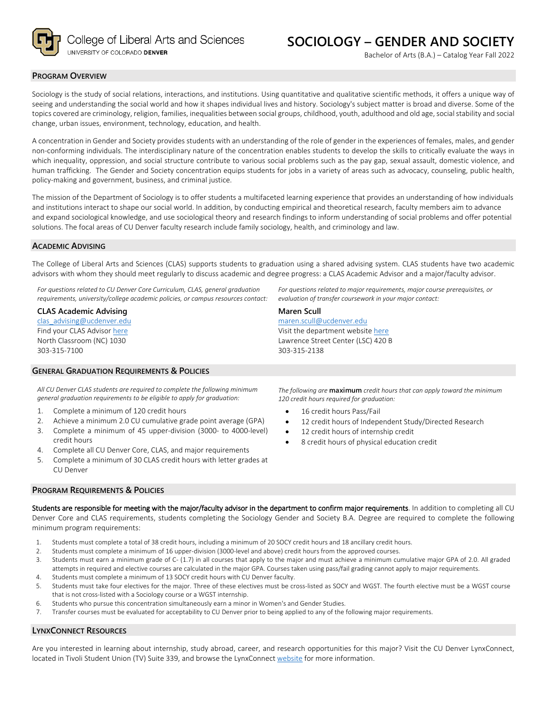

## **PROGRAM OVERVIEW**

Sociology is the study of social relations, interactions, and institutions. Using quantitative and qualitative scientific methods, it offers a unique way of seeing and understanding the social world and how it shapes individual lives and history. Sociology's subject matter is broad and diverse. Some of the topics covered are criminology, religion, families, inequalities between social groups, childhood, youth, adulthood and old age, social stability and social change, urban issues, environment, technology, education, and health.

A concentration in Gender and Society provides students with an understanding of the role of gender in the experiences of females, males, and gender non-conforming individuals. The interdisciplinary nature of the concentration enables students to develop the skills to critically evaluate the ways in which inequality, oppression, and social structure contribute to various social problems such as the pay gap, sexual assault, domestic violence, and human trafficking. The Gender and Society concentration equips students for jobs in a variety of areas such as advocacy, counseling, public health, policy-making and government, business, and criminal justice.

The mission of the Department of Sociology is to offer students a multifaceted learning experience that provides an understanding of how individuals and institutions interact to shape our social world. In addition, by conducting empirical and theoretical research, faculty members aim to advance and expand sociological knowledge, and use sociological theory and research findings to inform understanding of social problems and offer potential solutions. The focal areas of CU Denver faculty research include family sociology, health, and criminology and law.

## **ACADEMIC ADVISING**

The College of Liberal Arts and Sciences (CLAS) supports students to graduation using a shared advising system. CLAS students have two academic advisors with whom they should meet regularly to discuss academic and degree progress: a CLAS Academic Advisor and a major/faculty advisor.

**Maren Scull**

303-315-2138

[maren.scull@ucdenver.edu](mailto:maren.scull@ucdenver.edu)  Visit the department websit[e here](https://clas.ucdenver.edu/sociology/) Lawrence Street Center (LSC) 420 B

*For questions related to CU Denver Core Curriculum, CLAS, general graduation requirements, university/college academic policies, or campus resources contact:*

#### **CLAS Academic Advising**

[clas\\_advising@ucdenver.edu](mailto:clas_advising@ucdenver.edu) Find your CLAS Adviso[r here](https://clas.ucdenver.edu/advising/) North Classroom (NC) 1030 303-315-7100

## **GENERAL GRADUATION REQUIREMENTS & POLICIES**

*All CU Denver CLAS students are required to complete the following minimum general graduation requirements to be eligible to apply for graduation:*

- 1. Complete a minimum of 120 credit hours
- 2. Achieve a minimum 2.0 CU cumulative grade point average (GPA)
- 3. Complete a minimum of 45 upper-division (3000- to 4000-level) credit hours
- 4. Complete all CU Denver Core, CLAS, and major requirements
- 5. Complete a minimum of 30 CLAS credit hours with letter grades at CU Denver

#### **PROGRAM REQUIREMENTS & POLICIES**

*The following are* **maximum** *credit hours that can apply toward the minimum 120 credit hours required for graduation:*

*For questions related to major requirements, major course prerequisites, or* 

*evaluation of transfer coursework in your major contact:*

- 16 credit hours Pass/Fail
- 12 credit hours of Independent Study/Directed Research
- 12 credit hours of internship credit
- 8 credit hours of physical education credit

Students are responsible for meeting with the major/faculty advisor in the department to confirm major requirements. In addition to completing all CU Denver Core and CLAS requirements, students completing the Sociology Gender and Society B.A. Degree are required to complete the following minimum program requirements:

- 1. Students must complete a total of 38 credit hours, including a minimum of 20 SOCY credit hours and 18 ancillary credit hours.
- 2. Students must complete a minimum of 16 upper-division (3000-level and above) credit hours from the approved courses.
- 3. Students must earn a minimum grade of C- (1.7) in all courses that apply to the major and must achieve a minimum cumulative major GPA of 2.0. All graded attempts in required and elective courses are calculated in the major GPA. Courses taken using pass/fail grading cannot apply to major requirements.
- 4. Students must complete a minimum of 13 SOCY credit hours with CU Denver faculty.
- 5. Students must take four electives for the major. Three of these electives must be cross-listed as SOCY and WGST. The fourth elective must be a WGST course that is not cross-listed with a Sociology course or a WGST internship.
- 6. Students who pursue this concentration simultaneously earn a minor in Women's and Gender Studies.
- 7. Transfer courses must be evaluated for acceptability to CU Denver prior to being applied to any of the following major requirements.

# **LYNXCONNECT RESOURCES**

Are you interested in learning about internship, study abroad, career, and research opportunities for this major? Visit the CU Denver LynxConnect, located in Tivoli Student Union (TV) Suite 339, and browse the LynxConnec[t website](http://www.ucdenver.edu/lynxconnect/Pages/default.aspx) for more information.